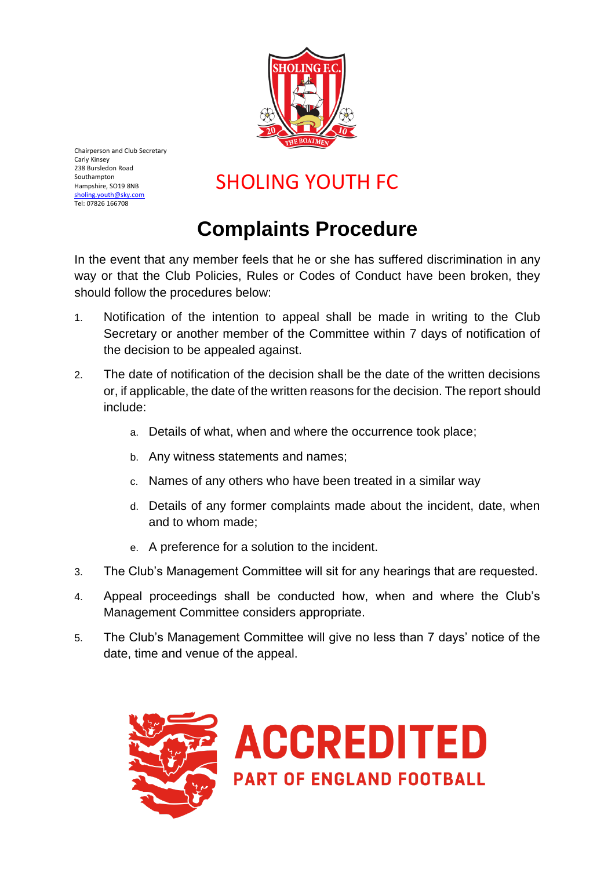

Chairperson and Club Secretary Carly Kinsey 238 Bursledon Road Southampton Hampshire, SO19 8NB [sholing.youth@sky.com](mailto:sholing.youth@sky.com) Tel: 07826 166708

## SHOLING YOUTH FC

## **Complaints Procedure**

In the event that any member feels that he or she has suffered discrimination in any way or that the Club Policies, Rules or Codes of Conduct have been broken, they should follow the procedures below:

- 1. Notification of the intention to appeal shall be made in writing to the Club Secretary or another member of the Committee within 7 days of notification of the decision to be appealed against.
- 2. The date of notification of the decision shall be the date of the written decisions or, if applicable, the date of the written reasons for the decision. The report should include:
	- a. Details of what, when and where the occurrence took place;
	- b. Any witness statements and names;
	- c. Names of any others who have been treated in a similar way
	- d. Details of any former complaints made about the incident, date, when and to whom made;
	- e. A preference for a solution to the incident.
- 3. The Club's Management Committee will sit for any hearings that are requested.
- 4. Appeal proceedings shall be conducted how, when and where the Club's Management Committee considers appropriate.
- 5. The Club's Management Committee will give no less than 7 days' notice of the date, time and venue of the appeal.